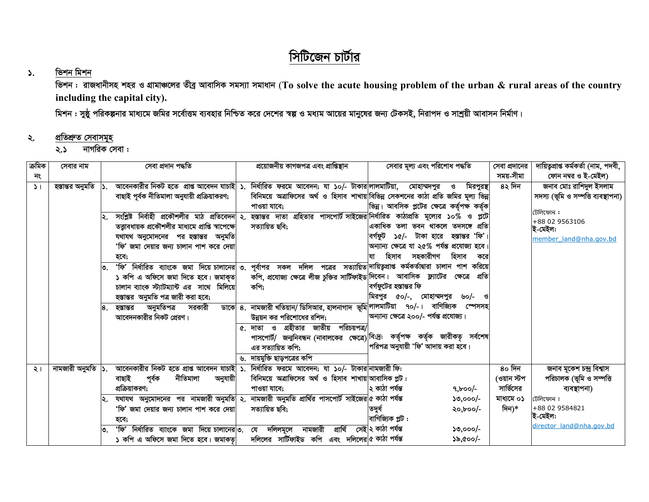# সিটিজেন চার্টার

### ভিশন মিশন  $\lambda$ .

ভিশন : রাজধানীসহ শহর ও গ্রামাঞ্চলের তীব্র আবাসিক সমস্যা সমাধান (To solve the acute housing problem of the urban & rural areas of the country including the capital city).

মিশন : সুষ্ঠু পরিকল্পনার মাধ্যমে জমির সর্বোত্তম ব্যবহার নিশ্চিত করে দেশের স্বল্প ও মধ্যম আয়ের মানুষের জন্য টেকসই, নিরাপদ ও সাশ্রয়ী আবাসন নির্মাণ।

#### প্ৰতিশ্ৰুত সেবাসমূহ ২.

নাগরিক সেবা :  $\lambda$ .

| ক্ৰমিক        | সেবার নাম            |    | সেবা প্ৰদান পদ্ধতি                                                                                                              | প্রয়োজনীয় কাগজপত্র এবং প্রাপ্তিস্থান                                                                      | সেবার মূল্য এবং পরিশোধ পদ্ধতি                  |           | সেবা প্রদানের | দায়িত্বপ্ৰাপ্ত কৰ্মকৰ্তা (নাম, পদবী, |
|---------------|----------------------|----|---------------------------------------------------------------------------------------------------------------------------------|-------------------------------------------------------------------------------------------------------------|------------------------------------------------|-----------|---------------|---------------------------------------|
| নং            |                      |    |                                                                                                                                 |                                                                                                             |                                                |           | সময়-সীমা     | ফোন নম্বর ও ই-মেইল)                   |
| $\mathcal{L}$ | হস্তান্তর অনুমতি  ১. |    | আবেনকারীর নিকট হতে প্রাপ্ত আবেদন যাচাই   ১. নির্ধারিত ফরমে আবেদন; যা ১০/- টাকার লালমাটিয়া, মোহাম্মদপুর                         |                                                                                                             | O                                              | মিরপুরস্থ | 8২ দিন        | জনাব মোঃ রাশিদুল ইসলাম                |
|               |                      |    | বাছাই পূৰ্বক নীতিমালা অনুযায়ী প্ৰক্ৰিয়াকরণ;                                                                                   | বিনিময়ে অত্রাফিসের অর্থ ও হিসাব শাখায় বিভিন্ন সেকশনের কাঠা প্রতি জমির মূল্য ভিন্ন<br>পাওয়া যাবে:         | ভিন্ন। আবসিক প্লটের ক্ষেত্রে কর্তৃপক্ষ কর্তৃক  |           |               | সদস্য (ভূমি ও সম্পত্তি ব্যবস্থাপনা)   |
|               |                      |    | সংশ্লিষ্ট নিৰ্বাহী প্ৰকৌশলীর মাঠ প্ৰতিবেদন ২. হস্তান্তর দাতা গ্ৰহিতার পাসপোর্ট সাইজের নির্ধারিত কাঠাপ্রতি মূল্যের ১০% ও প্লটে   |                                                                                                             |                                                |           |               | টেলিফোন :                             |
|               |                      |    | তত্ত্বাবধায়ক প্রকৌশলীর মাধ্যমে প্রাপ্তি স্বাপেক্ষে                                                                             | সত্যায়িত ছবি;                                                                                              | একাধিক তলা ভবন থাকলে তদসঙ্গে প্ৰতি             |           |               | +88 02 9563106<br>ই-মেইল:             |
|               |                      |    | যথাযথ অনুমোদনের পর হস্তান্তর অনুমতি                                                                                             |                                                                                                             | বৰ্গফট<br>১৫/- টাকা হারে  হস্তান্তর 'ফি'।      |           |               | member land@nha.gov.bd                |
|               |                      |    | 'ফি' জমা দেয়ার জন্য চালান পাশ করে দেয়া                                                                                        |                                                                                                             | অন্যান্য ক্ষেত্রে যা ২৫% পর্যন্ত প্রযোজ্য হবে। |           |               |                                       |
|               |                      |    | হবে;                                                                                                                            |                                                                                                             | হিসাব সহকারীগণ<br>হিসাব<br>যা                  | করে       |               |                                       |
|               |                      | ৩. | 'ফি' নির্ধারিত ব্যাংকে জমা দিয়ে চালানের ৩. পূর্বাপর সকল দলিল পত্রের সত্যায়িত দায়িত্বপ্রাপ্ত কর্মকর্তাদ্বারা চালান পাশ করিয়ে |                                                                                                             |                                                |           |               |                                       |
|               |                      |    | ১ কপি এ অফিসে জমা দিতে হবে। জমাকৃত                                                                                              | কপি, প্রযোজ্য ক্ষেত্রে লীজ চুক্তির সার্টিফাইড দিবেন। আবাসিক  ফ্ল্যাটের  ক্ষেত্রে  প্রতি                     |                                                |           |               |                                       |
|               |                      |    | চালান ব্যাংক স্ট্যাটম্যান্ট এর সাথে মিলিয়ে                                                                                     | কপি;                                                                                                        | বর্গফুটের হস্তান্তর ফি                         |           |               |                                       |
|               |                      |    | হস্তান্তর অনুমতি পত্র জারী করা হবে;                                                                                             |                                                                                                             | মিরপুর<br>৫০/-,<br>মোহাম্মদপুর                 | ৬০/- ও    |               |                                       |
|               |                      | 8. | অনুমতিপত্ৰ<br>সরকারী<br>হস্তান্তর                                                                                               | ডাকে 8. নামজারী খতিয়ান/ ডিসিআর, হালনাগাদ ভূমি লালমাটিয়া ৭০/-।                                             | বাণিজ্যিক                                      | স্পেসসহ   |               |                                       |
|               |                      |    | আবেদনকারীর নিকট প্রেরণ।                                                                                                         | উন্নয়ন কর পরিশোধের রশিদ;                                                                                   | অন্যান্য ক্ষেত্রে ২০০/- পর্যন্ত প্রযোজ্য।      |           |               |                                       |
|               |                      |    |                                                                                                                                 | ৫. দাতা ও গ্রহীতার জাতীয় পরিচয়পত্র/                                                                       |                                                |           |               |                                       |
|               |                      |    |                                                                                                                                 | পাসপোৰ্ট/ জন্মনিবন্ধন (নাবালকের ক্ষেত্রে) <sup> বি:দ্র:</sup> কর্তৃপক্ষ কর্তৃক জারীকতৃ সর্বশেষ <sup> </sup> |                                                |           |               |                                       |
|               |                      |    |                                                                                                                                 | এর সত্যায়িত কপি;                                                                                           | পরিপত্র অনুযায়ী 'ফি' আদায় করা হবে।           |           |               |                                       |
|               |                      |    |                                                                                                                                 | ৬. দায়মুক্তি ছাড়পত্রের কপি                                                                                |                                                |           |               |                                       |
| ২।            | নামজারী অনুমতি  ১.   |    | আবেনকারীর নিকট হতে প্রাপ্ত আবেদন যাচাই ১. নির্ধারিত ফরমে আবেদন; যা ১০/- টাকার নামজারী ফি:                                       |                                                                                                             |                                                |           | 8০ দিন        | জনাব মূকেশ চন্দ্ৰ বিশ্বাস             |
|               |                      |    | পূৰ্বক<br>নীতিমালা<br>বাছাই<br>অনুযায়ী                                                                                         | বিনিময়ে অত্রাফিসের অর্থ ও হিসাব শাখায় আবাসিক প্লট:                                                        |                                                |           | (ওয়ান স্টপ   | পরিচালক (ভূমি ও সম্পত্তি              |
|               |                      |    | প্রক্রিয়াকরণ;                                                                                                                  | পাওয়া যাবে;                                                                                                | ২ কাঠা পৰ্যন্ত<br>$9,000$ -                    |           | সার্ভিসের     | ব্যবস্থাপনা)                          |
|               |                      |    | যথাযথ অনুমোদনের পর নামজারী অনুমতি ২. নামজারী অনুমতি প্রার্থির পাসপোর্ট সাইজের ৫ কাঠা পর্যন্ত                                    |                                                                                                             | ১৩,০০০/-                                       |           | মাধ্যমে ০১    | টেলিফোন:                              |
|               |                      |    | 'ফি' জমা দেয়ার জন্য চালান পাশ করে দেয়া                                                                                        | সত্যায়িত ছবি;                                                                                              | তদর্ধ<br>$\lambda$ o, $\mathbf{b}$ oo/-        |           | দিন)*         | +88 02 9584821                        |
|               |                      |    | হবে;                                                                                                                            |                                                                                                             | বাণিজ্যিক প্লট:                                |           |               | ই-মেইল:                               |
|               |                      |    | <u>'ফি'</u><br>নিৰ্ধাৱিত ব্যাংকে জমা দিয়ে চালানের ৩.                                                                           | প্ৰাৰ্থি<br>দলিলমূলে<br>নামজারী<br>যে                                                                       | নেই ২ কাঠা পৰ্যন্ত<br>১৩,০০০/-                 |           |               | director land@nha.gov.bd              |
|               |                      |    | ১ কপি এ অফিসে জমা দিতে হবে। জমাকত।                                                                                              | দলিলের সার্টিফাইড কপি এবং দলিলের ৫কাঠা পর্যন্ত                                                              | ১৯,৫০০/-                                       |           |               |                                       |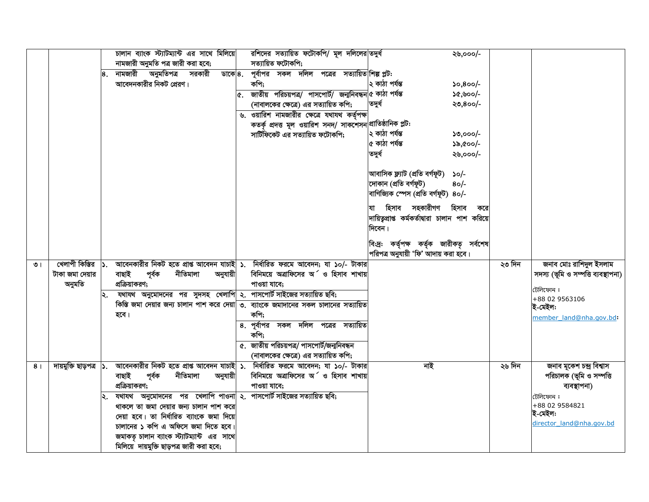|                |                         | চালান ব্যাংক স্ট্যাটম্যান্ট এর সাথে মিলিয়ে<br>নামজারী অনুমতি পত্র জারী করা হবে;          |    | রশিদের সত্যায়িত ফটোকপি/ মূল দলিলের তদুর্ধ<br>সত্যায়িত ফটোকপি; |                                                 | ২৬,০০০/-   |        |                                     |
|----------------|-------------------------|-------------------------------------------------------------------------------------------|----|-----------------------------------------------------------------|-------------------------------------------------|------------|--------|-------------------------------------|
|                |                         | ৪. নামজারী অনুমতিপত্র সরকারী<br>ডাকে $8.$                                                 |    | পূর্বাপর সকল দলিল পত্রের সত্যায়িত।শিল্পপ্লট:                   |                                                 |            |        |                                     |
|                |                         | আবেদনকারীর নিকট প্রেরণ।                                                                   |    | কপি;                                                            | ২ কাঠা পৰ্যন্ত                                  | $50,800/-$ |        |                                     |
|                |                         |                                                                                           | ¢. | জাতীয় পরিচয়পত্র/ পাসপোর্ট/ জন্মনিবন্ধন ৫ কাঠা পর্যন্ত         |                                                 | ১৫,৬০০/-   |        |                                     |
|                |                         |                                                                                           |    | (নাবালকের ক্ষেত্রে) এর সত্যায়িত কপি;                           | তদুৰ্ধ                                          | ২৩,৪০০/-   |        |                                     |
|                |                         |                                                                                           |    | ৬. ওয়ারিশ নামজারীর ক্ষেত্রে যথাযথ কর্তৃপক্ষ                    |                                                 |            |        |                                     |
|                |                         |                                                                                           |    | কতর্কৃ প্রদত্ত মূল ওয়ারিশ সনদ/ সাকশেসন $ $ প্রাতিষ্ঠানিক প্লট: |                                                 |            |        |                                     |
|                |                         |                                                                                           |    | সার্টিফিকেট এর সত্যায়িত ফটোকপি;                                | ২ কাঠা পৰ্যন্ত                                  | $50,000/-$ |        |                                     |
|                |                         |                                                                                           |    |                                                                 | ৫ কাঠা পৰ্যন্ত                                  | ১৯,৫০০/-   |        |                                     |
|                |                         |                                                                                           |    |                                                                 | তদুৰ্ধ                                          | ২৬,০০০/-   |        |                                     |
|                |                         |                                                                                           |    |                                                                 | আবাসিক ফ্ল্যাট (প্ৰতি বৰ্গফূট)                  | $\Omega$   |        |                                     |
|                |                         |                                                                                           |    |                                                                 | দোকান (প্ৰতি বৰ্গফূট)                           | $80 -$     |        |                                     |
|                |                         |                                                                                           |    |                                                                 | বাণিজ্যিক স্পেস (প্ৰতি বৰ্গফূট) ৪০/-            |            |        |                                     |
|                |                         |                                                                                           |    |                                                                 | যা হিসাব সহকারীগণ হিসাব                         | করে        |        |                                     |
|                |                         |                                                                                           |    |                                                                 | দায়িতৃপ্রাপ্ত কর্মকর্তাদ্বারা চালান পাশ করিয়ে |            |        |                                     |
|                |                         |                                                                                           |    |                                                                 | দিবেন।                                          |            |        |                                     |
|                |                         |                                                                                           |    |                                                                 | বি:দ্র: কর্তৃপক্ষ কর্তৃক জারীকতৃ সর্বশেষ        |            |        |                                     |
|                |                         |                                                                                           |    |                                                                 | পরিপত্র অনুযায়ী 'ফি' আদায় করা হবে।            |            |        |                                     |
| ৩।             | খেলাপী কিস্তির          | <b> ১. আবেনকারীর নিকট হতে প্রাপ্ত আবেদন যাচাই  ১. নির্ধারিত ফরমে আবেদন; যা ১০/- টাকার</b> |    |                                                                 |                                                 |            | ২৩ দিন | জনাব মোঃ রাশিদুল ইসলাম              |
|                | টাকা জমা দেয়ার         | নীতিমালা<br>বাছাই<br>পূৰ্বক<br>অনুযায়ী                                                   |    | বিনিময়ে অত্রাফিসের অর্ ও হিসাব শাখায়                          |                                                 |            |        | সদস্য (ভূমি ও সম্পত্তি ব্যবস্থাপনা) |
|                | অনুমতি                  | প্রক্রিয়াকরণ;                                                                            |    | পাওয়া যাবে;                                                    |                                                 |            |        |                                     |
|                |                         | যথাযথ অনুমোদনের পর সুদসহ খেলাপি ২. পাসপোর্ট সাইজের সত্যায়িত ছবি;                         |    |                                                                 |                                                 |            |        | টেলিফোন :<br>+88 02 9563106         |
|                |                         | কিস্তি জমা দেয়ার জন্য চালান পাশ করে দেয়া ৩. ব্যাংকে জমাদানের সকল চালানের সত্যায়িত      |    |                                                                 |                                                 |            |        | ই-মেইল:                             |
|                |                         | হবে।                                                                                      |    | কপি;                                                            |                                                 |            |        | member land@nha.gov.bd:             |
|                |                         |                                                                                           | 8. | পূর্বাপর সকল দলিল পত্রের সত্যায়িত                              |                                                 |            |        |                                     |
|                |                         |                                                                                           |    | কপি;                                                            |                                                 |            |        |                                     |
|                |                         |                                                                                           |    | ৫. জাতীয় পরিচয়পত্র/ পাসপোর্ট/জন্মনিবন্ধন                      |                                                 |            |        |                                     |
|                |                         |                                                                                           |    | (নাবালকের ক্ষেত্রে) এর সত্যায়িত কপি;                           |                                                 |            |        |                                     |
| 8 <sub>1</sub> | দায়মুক্তি ছাড়পত্র  ১. | আবেনকারীর নিকট হতে প্রাপ্ত আবেদন যাচাই ১.                                                 |    | নিৰ্ধারিত ফরমে আবেদন; যা ১০/- টাকার                             | নাই                                             |            | ২৬ দিন | জনাব মূকেশ চন্দ্ৰ বিশ্বাস           |
|                |                         | নীতিমালা<br>বাছাই<br>পূৰ্বক<br>অনুযায়ী                                                   |    | বিনিময়ে অত্রাফিসের অ ও হিসাব শাখায়                            |                                                 |            |        | পরিচালক (ভূমি ও সম্পত্তি            |
|                |                         | প্রক্রিয়াকরণ;                                                                            |    | পাওয়া যাবে;                                                    |                                                 |            |        | ব্যবস্থাপনা)                        |
|                |                         | যথাযথ অনুমোদনের পর খেলাপি পাওনা ২. পাসপোর্ট সাইজের সত্যায়িত ছবি;                         |    |                                                                 |                                                 |            |        | টেলিফোন :                           |
|                |                         | থাকলে তা জমা দেয়ার জন্য চালান পাশ করে                                                    |    |                                                                 |                                                 |            |        | +88 02 9584821<br>ই-মেইল:           |
|                |                         | দেয়া হবে। তা নিৰ্ধারিত ব্যাংকে জমা দিয়ে                                                 |    |                                                                 |                                                 |            |        | director land@nha.gov.bd            |
|                |                         | চালানের ১ কপি এ অফিসে জমা দিতে হবে                                                        |    |                                                                 |                                                 |            |        |                                     |
|                |                         | জমাকত চালান ব্যাংক স্ট্যাটম্যান্ট এর সাথে                                                 |    |                                                                 |                                                 |            |        |                                     |
|                |                         | মিলিয়ে দায়মুক্তি ছাড়পত্র জারী করা হবে;                                                 |    |                                                                 |                                                 |            |        |                                     |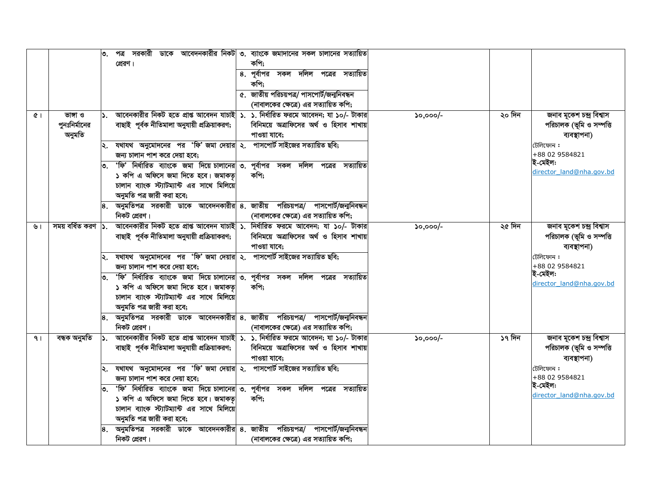|                |                                     | ৩.                | সরকারী<br>পত্ৰ<br>প্রেরণ।                                                                                                                                                                                                       | ভাকে আবেদনকারীর নিকট ৩. ব্যাংকে জমাদানের সকল চালানের সত্যায়িত<br>কপি;<br>৪. পূর্বাপর সকল দলিল পত্রের সত্যায়িত<br>কপি;<br>৫. জাতীয় পরিচয়পত্র/ পাসপোর্ট/জন্মনিবন্ধন<br>(নাবালকের ক্ষেত্রে) এর সত্যায়িত কপি; |                                |                                                                       |
|----------------|-------------------------------------|-------------------|---------------------------------------------------------------------------------------------------------------------------------------------------------------------------------------------------------------------------------|----------------------------------------------------------------------------------------------------------------------------------------------------------------------------------------------------------------|--------------------------------|-----------------------------------------------------------------------|
| $\alpha$       | ভাঙ্গা ও<br>পুনঃনির্মানের<br>অনুমতি | ۱১.               | আবেনকারীর নিকট হতে প্রাপ্ত আবেদন যাচাই ১. ১. নির্ধারিত ফরমে আবেদন; যা ১০/- টাকার<br>বাছাই পূৰ্বক নীতিমালা অনুযায়ী প্ৰক্ৰিয়াকরণ;                                                                                               | বিনিময়ে অত্রাফিসের অর্থ ও হিসাব শাখায়<br>পাওয়া যাবে;                                                                                                                                                        | ২০ দিন<br>$50,000/-$           | জনাব মূকেশ চন্দ্ৰ বিশ্বাস<br>পরিচালক (ভূমি ও সম্পত্তি<br>ব্যবস্থাপনা) |
|                |                                     | ৩.                | ২. যথাযথ অনুমোদনের পর 'ফি' জমা দেয়ার ২. পাসপোর্ট সাইজের সত্যায়িত ছবি;<br>জন্য চালান পাশ করে দেয়া হবে;<br>'ফি' নির্ধারিত ব্যাংকে জমা দিয়ে চালানের ৩. পূর্বাপর সকল দলিল পত্রের সত্যায়িত<br>১ কপি এ অফিসে জমা দিতে হবে। জমাকত | কপি:                                                                                                                                                                                                           |                                | টেলিফোন:<br>+88 02 9584821<br>ই-মেইল:<br>director land@nha.gov.bd     |
|                |                                     |                   | চালান ব্যাংক স্ট্যাটম্যান্ট এর সাথে মিলিয়ে<br>অনুমতি পত্র জারী করা হবে;<br>8. অনুমতিপত্র সরকারী ডাকে আবেদনকারীর ৪. জাতীয় পরিচয়পত্র/ পাসপোর্ট/জন্মনিবন্ধন                                                                     |                                                                                                                                                                                                                |                                |                                                                       |
| ৬।             | সময় বৰ্ধিত করণ  ১.                 |                   | নিকট প্রেরণ।<br>আবেনকারীর নিকট হতে প্রাপ্ত আবেদন যাচাই <mark>  ১. নির্ধারিত ফরমে আবেদন; যা ১০/- টাকার</mark>  <br>বাছাই পূৰ্বক নীতিমালা অনুযায়ী প্ৰক্ৰিয়াকরণ;                                                                 | (নাবালকের ক্ষেত্রে) এর সত্যায়িত কপি;<br>বিনিময়ে অত্রাফিসের অর্থ ও হিসাব শাখায়<br>পাওয়া যাবে;                                                                                                               | ২৫ দিন<br>$50,000/-$           | জনাব মূকেশ চন্দ্ৰ বিশ্বাস<br>পরিচালক (ভূমি ও সম্পত্তি<br>ব্যবস্থাপনা) |
|                |                                     | ৩.                | $ $ ২. যথাযথ অনুমোদনের পর 'ফি' জমা দেয়ার $ $ ২. পাসপোর্ট সাইজের সত্যায়িত ছবি;<br>জন্য চালান পাশ করে দেয়া হবে;<br>'ফি' নির্ধারিত ব্যাংকে জমা দিয়ে চালানের ৩. পূর্বাপর সকল দলিল পত্রের সত্যায়িত                              |                                                                                                                                                                                                                |                                | টেলিফোন :<br>+88 02 9584821<br>ই-মেইল:                                |
|                |                                     |                   | ১ কপি এ অফিসে জমা দিতে হবে। জমাকত<br>চালান ব্যাংক স্ট্যাটম্যান্ট এর সাথে মিলিয়ে<br>অনুমতি পত্র জারী করা হবে;                                                                                                                   | কপি:                                                                                                                                                                                                           |                                | director land@nha.gov.bd                                              |
|                |                                     |                   | $\vert$ ৪. অনুমতিপত্র সরকারী ডাকে আবেদনকারীর $\vert$ ৪. জাতীয় পরিচয়পত্র/ পাসপোর্ট/জন্মনিবন্ধন<br>নিকট প্রেরণ।                                                                                                                 | (নাবালকের ক্ষেত্রে) এর সত্যায়িত কপি;                                                                                                                                                                          |                                |                                                                       |
| 9 <sub>1</sub> | বন্ধক অনুমতি                        |                   | আবেনকারীর নিকট হতে প্রাপ্ত আবেদন যাচাই   ১. ১. নির্ধারিত ফরমে আবেদন; যা ১০/- টাকার<br>বাছাই পূৰ্বক নীতিমালা অনুযায়ী প্ৰক্ৰিয়াকরণ;                                                                                             | বিনিময়ে অত্রাফিসের অর্থ ও হিসাব শাখায়<br>পাওয়া যাবে;                                                                                                                                                        | ১৭ দিন<br>$\mathcal{L}$ ,000/- | জনাব মূকেশ চন্দ্ৰ বিশ্বাস<br>পরিচালক (ভূমি ও সম্পত্তি<br>ব্যবস্থাপনা) |
|                |                                     |                   | $ \mathsf{k} $ . যথাযথ অনুমোদনের পর 'ফি' জমা দেয়ার $ \mathsf{k} $ . পাসপোর্ট সাইজের সত্যায়িত ছবি;<br>জন্য চালান পাশ করে দেয়া হবে;                                                                                            |                                                                                                                                                                                                                |                                | টেলিফোন:<br>+88 02 9584821                                            |
|                |                                     | ত. $\blacksquare$ | 'ফি' নির্ধারিত ব্যাংকে জমা দিয়ে চালানের ৩. পূর্বাপর সকল দলিল পত্রের সত্যায়িত<br>১ কপি এ অফিসে জমা দিতে হবে। জমাকত়<br>চালান ব্যাংক স্ট্যাটম্যান্ট এর সাথে মিলিয়ে<br>অনুমতি পত্র জারী করা হবে;                                | কপি:                                                                                                                                                                                                           |                                | ই-মেইল:<br>director land@nha.gov.bd                                   |
|                |                                     |                   | 8. অনুমতিপত্র সরকারী ডাকে আবেদনকারীর ৪. জাতীয় পরিচয়পত্র/ পাসপোর্ট/জন্মনিবন্ধন<br>নিকট প্রেরণ।                                                                                                                                 | (নাবালকের ক্ষেত্রে) এর সত্যায়িত কপি;                                                                                                                                                                          |                                |                                                                       |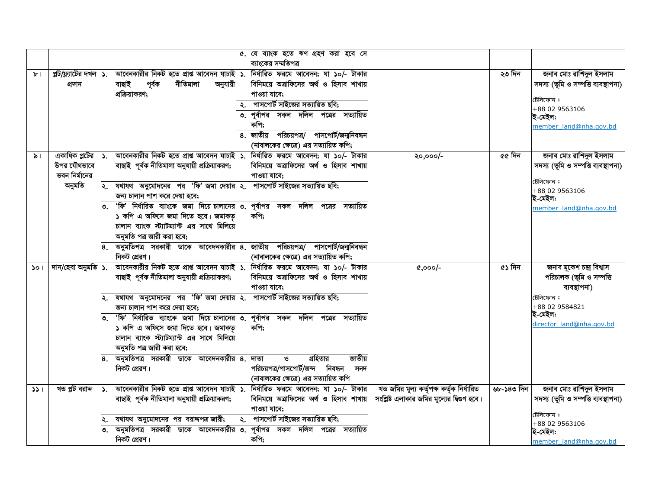|     |                                                         |                |                                                                                                                                                                                                                                                                                                                                                                                                                                                                                                                                                   | ৫. যে ব্যাংক হতে ঋণ গ্ৰহণ করা হবে সে<br>ব্যাংকের সম্মতিপত্র                                                                                                                                                                          |                                                                                          |            |                                                                                                                                             |
|-----|---------------------------------------------------------|----------------|---------------------------------------------------------------------------------------------------------------------------------------------------------------------------------------------------------------------------------------------------------------------------------------------------------------------------------------------------------------------------------------------------------------------------------------------------------------------------------------------------------------------------------------------------|--------------------------------------------------------------------------------------------------------------------------------------------------------------------------------------------------------------------------------------|------------------------------------------------------------------------------------------|------------|---------------------------------------------------------------------------------------------------------------------------------------------|
| ৮।  | প্লট/ফ্ল্যাটের দখল $\vert$ ১.<br>প্ৰদান                 |                | আবেনকারীর নিকট হতে প্রাপ্ত আবেদন যাচাই ১. নির্ধারিত ফরমে আবেদন; যা ১০/- টাকার<br>নীতিমালা<br>অনুযায়ী<br>বাছাই<br>পূৰ্বক<br>প্রক্রিয়াকরণ;                                                                                                                                                                                                                                                                                                                                                                                                        | বিনিময়ে অত্রাফিসের অর্থ ও হিসাব শাখায়<br>পাওয়া যাবে:<br>২. পাসপোর্ট সাইজের সত্যায়িত ছবি;<br>৩. পূর্বাপর সকল দলিল পত্রের সত্যায়িত<br>কপি;<br>8. জাতীয় পরিচয়পত্র/ পাসপোর্ট/জন্মনিবন্ধন<br>(নাবালকের ক্ষেত্রে) এর সত্যায়িত কপি; |                                                                                          | ২৩ দিন     | জনাব মোঃ রাশিদুল ইসলাম<br>সদস্য (ভূমি ও সম্পত্তি ব্যবস্থাপনা)<br>টেলিফোন :<br>+88 02 9563106<br>ই-মেইল:<br>member land@nha.gov.bd           |
| ৯।  | একাধিক প্লটের<br>উপর যৌথভাবে<br>ভবন নির্মানের<br>অনুমতি | $\mathsf{S}$ . | আবেনকারীর নিকট হতে প্রাপ্ত আবেদন যাচাই ১. নির্ধারিত ফরমে আবেদন; যা ১০/- টাকার<br>বাছাই পূৰ্বক নীতিমালা অনুযায়ী প্ৰক্ৰিয়াকরণ;<br>২. যথাযথ অনুমোদনের পর 'ফি' জমা দেয়ার ২. পাসপোর্ট সাইজের সত্যায়িত ছবি;<br>জন্য চালান পাশ করে দেয়া হবে;<br>'ফি' নির্ধারিত ব্যাংকে জমা দিয়ে চালানের ৩. পূর্বাপর সকল দলিল পত্রের সত্যায়িত<br>১ কপি এ অফিসে জমা দিতে হবে। জমাকড়<br>চালান ব্যাংক স্ট্যাটম্যান্ট এর সাথে মিলিয়ে<br>অনুমতি পত্র জারী করা হবে;<br>8. অনুমতিপত্র সরকারী ডাকে আবেদনকারীর ৪. জাতীয় পরিচয়পত্র/ পাসপোর্ট/জন্মনিবন্ধন<br>নিকট প্রেরণ। | বিনিময়ে অত্রাফিসের অর্থ ও হিসাব শাখায়<br>পাওয়া যাবে;<br>কপি;<br>(নাবালকের ক্ষেত্রে) এর সত্যায়িত কপি;                                                                                                                             | ২০,০০০/-                                                                                 | ৫৫ দিন     | জনাব মোঃ রাশিদুল ইসলাম<br>সদস্য (ভূমি ও সম্পত্তি ব্যবস্থাপনা)<br>টেলিফোন :<br>+88 02 9563106<br>ই-মেইল:<br>member land@nha.gov.bd           |
| 501 | দান/হেবা অনুমতি  ১.                                     |                | আবেনকারীর নিকট হতে প্রাপ্ত আবেদন যাচাই ১. নির্ধারিত ফরমে আবেদন; যা ১০/- টাকার<br>বাছাই পূৰ্বক নীতিমালা অনুযায়ী প্ৰক্ৰিয়াকরণ;<br>যথাযথ অনুমোদনের পর 'ফি' জমা দেয়ার ২. পাসপোর্ট সাইজের সত্যায়িত ছবি;<br>জন্য চালান পাশ করে দেয়া হবে;<br>'ফি' নির্ধারিত ব্যাংকে জমা দিয়ে চালানের ৩. পূর্বাপর সকল দলিল পত্রের সত্যায়িত<br>১ কপি এ অফিসে জমা দিতে হবে। জমাকত<br>চালান ব্যাংক স্ট্যাটম্যান্ট এর সাথে মিলিয়ে<br>অনুমতি পত্র জারী করা হবে;<br>8. অনুমতিপত্র সরকারী ডাকে আবেদনকারীর ৪. দাতা<br>নিকট প্রেরণ।                                        | বিনিময়ে অত্রাফিসের অর্থ ও হিসাব শাখায়<br>পাওয়া যাবে:<br>কপি;<br>গ্রহিতার<br>জাতীয়<br>ও<br>পরিচয়পত্র/পাসপোর্ট/জন্দ নিবন্ধন<br>সনদ<br>(নাবালকের ক্ষেত্রে) এর সত্যায়িত কপি                                                        | $0.000/-$                                                                                | ৫১ দিন     | জনাব মূকেশ চন্দ্ৰ বিশ্বাস<br>পরিচালক (ভূমি ও সম্পত্তি<br>ব্যবস্থাপনা)<br>টেলিফোন :<br>+88 02 9584821<br>ই-মেইল:<br>director land@nha.gov.bd |
| 331 | খন্ড প্লট বরাদ্দ                                        | $\mathsf{S}$ . | আবেনকারীর নিকট হতে প্রাপ্ত আবেদন যাচাই ১. নির্ধারিত ফরমে আবেদন; যা ১০/- টাকার<br>বাছাই পূৰ্বক নীতিমালা অনুযায়ী প্ৰক্ৰিয়াকরণ;<br>যথাযথ অনুমোদনের পর বরাদ্দপত্র জারী;<br>অনুমতিপত্র সরকারী ডাকে আবেদনকারীর ৩. পূর্বাপর সকল দলিল পত্রের সত্যায়িত<br>নিকট প্রেরণ।                                                                                                                                                                                                                                                                                  | বিনিময়ে অত্রাফিসের অর্থ ও হিসাব শাখায়<br>পাওয়া যাবে;<br>২. পাসপোর্ট সাইজের সত্যায়িত ছবি;<br>কপি;                                                                                                                                 | খন্ড জমির মূল্য কর্তৃপক্ষ কর্তৃক নির্ধারিত<br>সংশ্লিষ্ট এলাকার জমির মূল্যের দ্বিগুণ হবে। | ৬৮-১৪৩ দিন | জনাব মোঃ রাশিদুল ইসলাম<br>সদস্য (ভূমি ও সম্পত্তি ব্যবস্থাপনা)<br>টেলিফোন :<br>+88 02 9563106<br>ই-মেইল:<br>member land@nha.gov.bd           |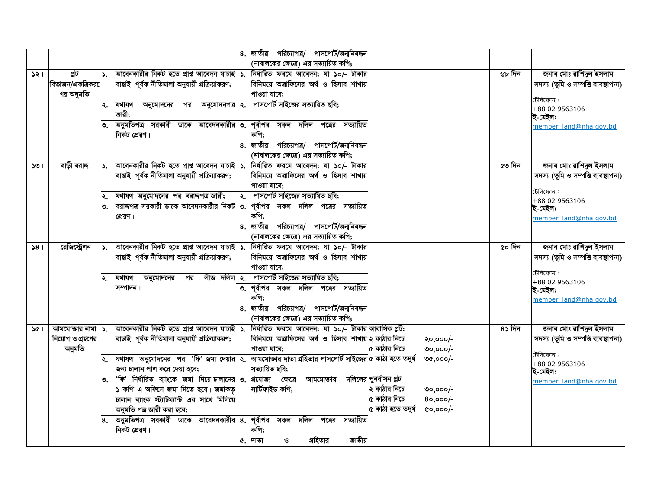|     |                                      |      |                                                                                                                                | ৪. জাতীয় পরিচয়পত্র/ পাসপোর্ট/জন্মনিবন্ধন<br>(নাবালকের ক্ষেত্রে) এর সত্যায়িত কপি; |                              |                      |        |                                                               |
|-----|--------------------------------------|------|--------------------------------------------------------------------------------------------------------------------------------|-------------------------------------------------------------------------------------|------------------------------|----------------------|--------|---------------------------------------------------------------|
| 321 | প্লট<br>বিভাজন/একত্রিকর<br>ণর অনুমতি |      | আবেনকারীর নিকট হতে প্রাপ্ত আবেদন যাচাই ১. নির্ধারিত ফরমে আবেদন; যা ১০/- টাকার<br>বাছাই পূৰ্বক নীতিমালা অনুযায়ী প্ৰক্ৰিয়াকরণ; | বিনিময়ে অত্রাফিসের অর্থ ও হিসাব শাখায়<br>পাওয়া যাবে:                             |                              |                      | ৬৮ দিন | জনাব মোঃ রাশিদুল ইসলাম<br>সদস্য (ভূমি ও সম্পত্তি ব্যবস্থাপনা) |
|     |                                      | ২.   | অনুমোদনের পর অনুমোদনপত্র ২. পাসপোর্ট সাইজের-সত্যায়িত-ছবি;<br>যথাযথ<br>জারী;                                                   |                                                                                     |                              |                      |        | টেলিফোন:<br>+88 02 9563106<br>ই-মেইল:                         |
|     |                                      |      | অনুমতিপত্র সরকারী ডাকে আবেদনকারীর ৩. পূর্বাপর সকল দলিল পত্রের সত্যায়িত<br>নিকট প্রেরণ।                                        | কপি:<br>8. জাতীয় পরিচয়পত্র/ পাসপোর্ট/জন্মনিবন্ধন                                  |                              |                      |        | member land@nha.gov.bd                                        |
|     |                                      |      |                                                                                                                                | (নাবালকের ক্ষেত্রে) এর সত্যায়িত কপি;                                               |                              |                      |        |                                                               |
| 301 | বাড়ী বরাদ্দ                         | ا دا | আবেনকারীর নিকট হতে প্রাপ্ত আবেদন যাচাই ১. নির্ধারিত ফরমে আবেদন; যা ১০/- টাকার<br>বাছাই পূৰ্বক নীতিমালা অনুযায়ী প্ৰক্ৰিয়াকরণ; | বিনিময়ে অত্রাফিসের অর্থ ও হিসাব শাখায়<br>পাওয়া যাবে:                             |                              |                      | ৫৩ দিন | জনাব মোঃ রাশিদুল ইসলাম<br>সদস্য (ভূমি ও সম্পত্তি ব্যবস্থাপনা) |
|     |                                      |      | যথাযথ অনুমোদনের পর বরাদ্দপত্র জারী;                                                                                            | ২. পাসপোর্ট সাইজের সত্যায়িত ছবি;                                                   |                              |                      |        | টেলিফোন:<br>+88 02 9563106                                    |
|     |                                      |      | বরাদ্দপত্র সরকারী ডাকে আবেদনকারীর নিকট ৩. পূর্বাপর  সকল  দলিল  পত্রের  সত্যায়িত                                               | কপি;                                                                                |                              |                      |        | ই-মেইল:                                                       |
|     |                                      |      | প্রেরণ।                                                                                                                        | 8. জাতীয় পরিচয়পত্র/ পাসপোর্ট/জন্মনিবন্ধন<br>(নাবালকের ক্ষেত্রে) এর সত্যায়িত কপি; |                              |                      |        | member_land@nha.gov.bd                                        |
| 381 | রেজিস্ট্রেশন                         |      | আবেনকারীর নিকট হতে প্রাপ্ত আবেদন যাচাই ১. নির্ধারিত ফরমে আবেদন; যা ১০/- টাকার                                                  |                                                                                     |                              |                      | ৫০ দিন | জনাব মোঃ রাশিদুল ইসলাম                                        |
|     |                                      |      | বাছাই পূৰ্বক নীতিমালা অনুযায়ী প্ৰক্ৰিয়াকরণ;                                                                                  | বিনিময়ে অত্রাফিসের অর্থ ও হিসাব শাখায়<br>পাওয়া যাবে:                             |                              |                      |        | সদস্য (ভূমি ও সম্পত্তি ব্যবস্থাপনা)                           |
|     |                                      | ₹.   | পর<br>যথাযথ<br>অনুমোদনের                                                                                                       | লীজ দলিল ২. পাসপোর্ট সাইজের সত্যায়িত ছবি;                                          |                              |                      |        | টেলিফোন:<br>+88 02 9563106                                    |
|     |                                      |      | সম্পাদন।                                                                                                                       | ৩. পূর্বাপর সকল দলিল পত্রের সত্যায়িত<br>কপি;                                       |                              |                      |        | ই-মেইল:<br>member land@nha.gov.bd                             |
|     |                                      |      |                                                                                                                                | ৪. জাতীয় পরিচয়পত্র/ পাসপোর্ট/জন্মনিবন্ধন                                          |                              |                      |        |                                                               |
|     |                                      |      |                                                                                                                                | (নাবালকের ক্ষেত্রে) এর সত্যায়িত কপি;                                               |                              |                      |        |                                                               |
| 361 | আমমোজার নামা  ১.                     |      | আবেনকারীর নিকট হতে প্রাপ্ত আবেদন যাচাই ১. নির্ধারিত ফরমে আবেদন; যা ১০/- টাকার আবাসিক প্লট:                                     | বিনিময়ে অত্রাফিসের অর্থ ও হিসাব শাখায় ২ কাঠার নিচে                                |                              |                      | 8১ দিন | জনাব মোঃ রাশিদুল ইসলাম                                        |
|     | নিয়োগ ও গ্রহণের<br>অনুমতি           |      | বাছাই পূৰ্বক নীতিমালা অনুযায়ী প্ৰক্ৰিয়াকরণ;                                                                                  | পাওয়া যাবে;                                                                        | ৫ কাঠার নিচে                 | ২০,০০০/-<br>৩০,০০০/- |        | সদস্য (ভূমি ও সম্পত্তি ব্যবস্থাপনা)                           |
|     |                                      |      | যথাযথ  অনুমোদনের  পর  'ফি' জমা দেয়ার ২.  আমমোজার দাতা গ্রহিতার পাসপোর্ট সাইজের ৫ কাঠা হতে তদুর্ধ                              |                                                                                     |                              | ৩৫,০০০/-             |        | টেলিফোন:                                                      |
|     |                                      |      | জন্য চালান পাশ করে দেয়া হবে;                                                                                                  | সত্যায়িত ছবি;                                                                      |                              |                      |        | +88 02 9563106<br>ই-মেইল:                                     |
|     |                                      |      | 'ফি' নির্ধারিত ব্যাংকে জমা দিয়ে চালানের ৩. প্রযোজ্য ক্ষেত্রে                                                                  | আমমোক্তার                                                                           | দলিলের পুনর্বাসন প্লট        |                      |        | member land@nha.gov.bd                                        |
|     |                                      |      | ১ কপি এ অফিসে জমা দিতে হবে। জমাকত<br>চালান ব্যাংক স্ট্যাটম্যান্ট এর সাথে মিলিয়ে                                               | সাৰ্টিফাইড কপি;                                                                     | ২ কাঠার নিচে<br>৫ কাঠার নিচে | ৩০,০০০/-<br>80,000/- |        |                                                               |
|     |                                      |      | অনুমতি পত্র জারী করা হবে;                                                                                                      |                                                                                     | ৫ কাঠা হতে তদুৰ্ধ            | $0,000/-$            |        |                                                               |
|     |                                      | 8.   | অনুমতিপত্র সরকারী ডাকে আবেদনকারীর ৪. পূর্বাপর সকল দলিল                                                                         | পত্রের<br>সত্যায়িত                                                                 |                              |                      |        |                                                               |
|     |                                      |      | নিকট প্রেরণ।                                                                                                                   | কপি;                                                                                |                              |                      |        |                                                               |
|     |                                      |      |                                                                                                                                | জাতীয়<br>গ্রহিতার<br>৫. দাতা<br>$\mathcal{O}$                                      |                              |                      |        |                                                               |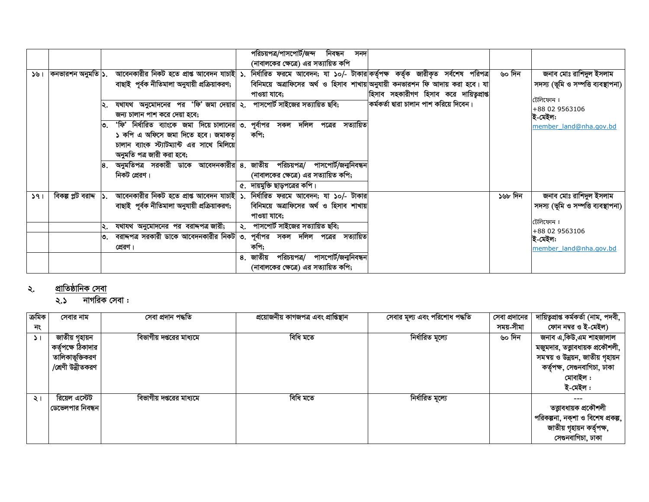|     |  |                                                                                                                                          |              | পরিচয়পত্র/পাসপোর্ট/জন্দ নিবন্ধন      |  | সনদ |                                                                               |  |         |                                     |
|-----|--|------------------------------------------------------------------------------------------------------------------------------------------|--------------|---------------------------------------|--|-----|-------------------------------------------------------------------------------|--|---------|-------------------------------------|
|     |  |                                                                                                                                          |              | (নাবালকের ক্ষেত্রে) এর সত্যায়িত কপি  |  |     |                                                                               |  |         |                                     |
| 391 |  | কনভারশন অনুমতি ১. আবেনকারীর নিকট হতে প্রাপ্ত আবেদন যাচাই ১. নির্ধারিত ফরমে আবেদন; যা ১০/- টাকার কর্তৃপক্ষ কর্তৃক জারীকৃত সর্বশেষ পরিপত্র |              |                                       |  |     |                                                                               |  | ৬০ দিন  | জনাব মোঃ রাশিদুল ইসলাম              |
|     |  | বাছাই পূৰ্বক নীতিমালা অনুযায়ী প্ৰক্ৰিয়াকরণ;                                                                                            |              |                                       |  |     | বিনিময়ে অত্রাফিসের অর্থ ও হিসাব শাখায় অনুযায়ী কনভারশন ফি আদায় করা হবে। যা |  |         | সদস্য (ভূমি ও সম্পত্তি ব্যবস্থাপনা) |
|     |  |                                                                                                                                          | পাওয়া যাবে; |                                       |  |     | হিসাব সহকারীগণ হিসাব করে দায়িতৃপ্রাপ্ত                                       |  |         | টেলিফোন:                            |
|     |  | যথাযথ অনুমোদনের পর 'ফি' জমা দেয়ার ২. পাসপোর্ট সাইজের সত্যায়িত ছবি;                                                                     |              |                                       |  |     | কৰ্মকৰ্তা দ্বাৱা চালান পাশ করিয়ে দিবেন।                                      |  |         | +88 02 9563106                      |
|     |  | জন্য চালান পাশ করে দেয়া হবে;                                                                                                            |              |                                       |  |     |                                                                               |  |         | ই-মেইল:                             |
|     |  | $\vert$ ৩. 'ফি' নির্ধারিত ব্যাংকে জমা দিয়ে চালানের $\vert$ ৩. পূর্বাপর সকল দলিল পত্রের সত্যায়িত                                        |              |                                       |  |     |                                                                               |  |         | member land@nha.gov.bd              |
|     |  | ১ কপি এ অফিসে জমা দিতে হবে। জমাকত।                                                                                                       | কপি;         |                                       |  |     |                                                                               |  |         |                                     |
|     |  | চালান ব্যাংক স্ট্যাটম্যান্ট এর সাথে মিলিয়ে                                                                                              |              |                                       |  |     |                                                                               |  |         |                                     |
|     |  | অনুমতি পত্র জারী করা হবে;                                                                                                                |              |                                       |  |     |                                                                               |  |         |                                     |
|     |  | অনুমতিপত্র সরকারী ডাকে আবেদনকারীর ৪ জাতীয় পরিচয়পত্র/ পাসপোর্ট/জন্মনিবন্ধন                                                              |              |                                       |  |     |                                                                               |  |         |                                     |
|     |  | নিকট প্রেরণ।                                                                                                                             |              | (নাবালকের ক্ষেত্রে) এর সত্যায়িত কপি; |  |     |                                                                               |  |         |                                     |
|     |  |                                                                                                                                          |              | ৫. দায়মুক্তি ছাড়পত্রের কপি।         |  |     |                                                                               |  |         |                                     |
| 391 |  | বিকল্প প্লট বরাদ্দ  ১. আবেনকারীর নিকট হতে প্রাপ্ত আবেদন যাচাই  ১. নির্ধারিত ফরমে আবেদন; যা ১০/- টাকার                                    |              |                                       |  |     |                                                                               |  | ১৬৮ দিন | জনাব মোঃ রাশিদুল ইসলাম              |
|     |  | বাছাই পূৰ্বক নীতিমালা অনুযায়ী প্ৰক্ৰিয়াকরণ;   বিনিময়ে অত্রাফিসের অর্থ ও হিসাব শাখায়                                                  |              |                                       |  |     |                                                                               |  |         | সদস্য (ভূমি ও সম্পত্তি ব্যবস্থাপনা) |
|     |  |                                                                                                                                          | পাওয়া যাবে; |                                       |  |     |                                                                               |  |         | টেলিফোন:                            |
|     |  | যথাযথ অনুমোদনের পর বরাদ্দপত্রজারী;                                                                                                       |              | ২. পাসপোর্ট সাইজের সত্যায়িত ছবি;     |  |     |                                                                               |  |         | +88 02 9563106                      |
|     |  | ৩. বরাদ্দপত্র সরকারী ডাকে আবেদনকারীর নিকট ৩. পূর্বাপর  সকল  দলিল  পত্রের  সত্যায়িত                                                      |              |                                       |  |     |                                                                               |  |         | ই-মেইল:                             |
|     |  | প্রেরণ।                                                                                                                                  | কপি;         |                                       |  |     |                                                                               |  |         | member_land@nha.gov.bd              |
|     |  |                                                                                                                                          | ৪. জাতীয়    | পরিচয়পত্র/ পাসপোর্ট/জন্মনিবন্ধন      |  |     |                                                                               |  |         |                                     |
|     |  |                                                                                                                                          |              | (নাবালকের ক্ষেত্রে) এর সত্যায়িত কপি; |  |     |                                                                               |  |         |                                     |

## <u>প্রাতিষ্ঠানিক সেবা</u> ২.

<u> $\overline{\phantom{1}}$ ২.১ নাগরিক সেবা :</u>

| ক্ৰমিক     | সেবার নাম          | সেবা প্ৰদান পদ্ধতি       | প্ৰয়োজনীয় কাগজপত্ৰ এবং প্ৰাপ্তিস্থান | সেবার মূল্য এবং পরিশোধ পদ্ধতি | সেবা প্রদানের | দায়িতৃপ্ৰাপ্ত কৰ্মকৰ্তা (নাম, পদবী,      |
|------------|--------------------|--------------------------|----------------------------------------|-------------------------------|---------------|-------------------------------------------|
| নং         |                    |                          |                                        |                               | সময়-সীমা     | ফোন নম্বর ও ই-মেইল)                       |
| $\Delta$ 1 | জাতীয় গহায়ন      | বিভাগীয় দপ্তরের মাধ্যমে | বিধি মতে                               | নিৰ্ধারিত মূল্যে              | ৬০ দিন        | জনাব এ,কিউ,এম শাহজালাল                    |
|            | কর্তৃপক্ষে ঠিকাদার |                          |                                        |                               |               | মজুমদার, তত্ত্বাবধায়ক প্রকৌশলী,          |
|            | তালিকাভূক্তিকরণ    |                          |                                        |                               |               | সমন্বয় ও উন্নয়ন, জাতীয় গৃহায়ন         |
|            | /শ্ৰেণী উন্নীতকরণ  |                          |                                        |                               |               | কর্তৃপক্ষ, সেগুনবাগিচা, ঢাকা              |
|            |                    |                          |                                        |                               |               | মোবাইল :                                  |
|            |                    |                          |                                        |                               |               | ই-মেইল:                                   |
| ২।         | রিয়েল এস্টেট      | বিভাগীয় দপ্তরের মাধ্যমে | বিধি মতে                               | নিৰ্ধারিত মূল্যে              |               |                                           |
|            | ডেভেলপার নিবন্ধন   |                          |                                        |                               |               | তত্ত্বাবধায়ক প্রকৌশলী                    |
|            |                    |                          |                                        |                               |               | পরিকল্পনা, নক্শা ও বিশেষ প্রকল্প, $\vert$ |
|            |                    |                          |                                        |                               |               | জাতীয় গৃহায়ন কৰ্তৃপক্ষ,                 |
|            |                    |                          |                                        |                               |               | সেগুনবাগিচা, ঢাকা                         |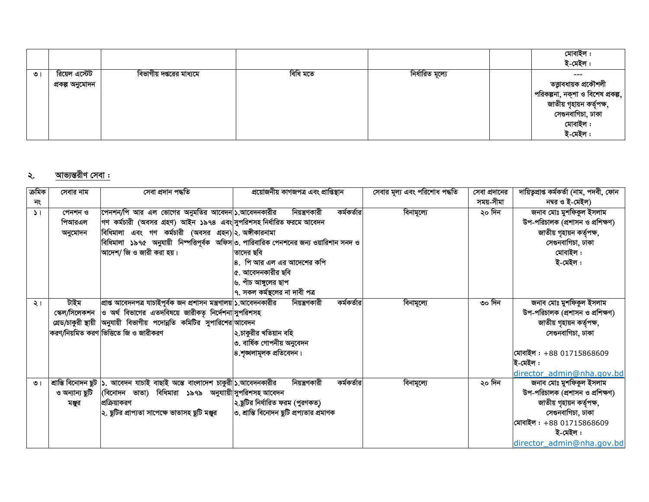|         |                                  |                         |          |                  | মোবাইল :<br>ই-মেইল :                                                                                                                          |
|---------|----------------------------------|-------------------------|----------|------------------|-----------------------------------------------------------------------------------------------------------------------------------------------|
| $\circ$ | রিয়েল এস্টেট<br>প্ৰকল্প অনুমোদন | বিভাগীয় দগুরের মাধ্যমে | বিধি মতে | নিৰ্ধারিত মূল্যে | $---$<br>তত্ত্বাবধায়ক প্রকৌশলী<br>পরিকল্পনা, নক্শা ও বিশেষ প্রকল্প,<br>জাতীয় গৃহায়ন কৰ্তৃপক্ষ,<br>সেগুনবাগিচা, ঢাকা<br>মোবাইল :<br>ই-মেইল: |

## <u>আভ্যন্তরীণ সেবা :</u> ২.

| ক্ৰমিক<br>নং  | সেবার নাম                    | সেবা প্ৰদান পদ্ধতি                                                                                                                                                                                                                                                                                               | প্ৰয়োজনীয় কাগজপত্ৰ এবং প্ৰাপ্তিস্থান                                                                                                                             | সেবার মূল্য এবং পরিশোধ পদ্ধতি | সেবা প্রদানের<br>সময়-সীমা | দায়িতৃপ্ৰাপ্ত কৰ্মকৰ্তা (নাম, পদবী, ফোন<br>নম্বর ও ই-মেইল)                                                                                                                        |
|---------------|------------------------------|------------------------------------------------------------------------------------------------------------------------------------------------------------------------------------------------------------------------------------------------------------------------------------------------------------------|--------------------------------------------------------------------------------------------------------------------------------------------------------------------|-------------------------------|----------------------------|------------------------------------------------------------------------------------------------------------------------------------------------------------------------------------|
| $\mathcal{L}$ | পেনশন ও<br>পিআরএল<br>অনুমোদন | পেনশন/পি আর এল ভোগের অনুমতির আবেদন ১.আবেদনকারীর<br> গণ  কর্মচারী  (অবসর  গ্রহণ)  আইন  ১৯৭৪  এবং সুপরিশসহ নির্ধারিত ফরমে আবেদন<br>বিধিমালা এবং গণ কর্মচারী (অবসর গ্রহন) ২. অঙ্গীকারনামা<br> বিধিমালা  ১৯৭৫  অনুযায়ী  নিম্পত্তিপূর্বক  অফিস ৩. পারিবারিক পেনশনের জন্য ওয়ারিশান সনদ ও<br>আদেশ/ জি ও জারী করা হয়। | কৰ্মকৰ্তার<br>নিয়ন্ত্রণকারী<br> তাদের ছবি<br>$ {\bf 8}. \;$ পি আর এল এর আদেশের কপি<br>৫. আবেদনকারীর ছবি<br>৬. পাঁচ আঙ্গুলের ছাপ<br>৭. সকল কর্মস্থলের না দাবী পত্র | বিনামূল্যে                    | ২০ দিন                     | জনাব মোঃ মুশফিকুল ইসলাম<br>উপ-পরিচালক (প্রশাসন ও প্রশিক্ষণ)<br>জাতীয় গৃহায়ন কর্তৃপক্ষ,<br>সেগুনবাগিচা, ঢাকা<br>মোবাইল :<br>ই-মেইল:                                               |
| $\geq 1$      | টাইম                         | প্ৰাপ্ত আবেদনপত্ৰ যাচাইপূৰ্বক জন প্ৰশাসন মন্ত্ৰণালয় ১.আবেদনকারীর<br>ক্ষেল/সিলেকশন  ও অর্থ বিভাগের এতদবিষয়ে জারীকতৃ নির্দেশনা সুপরিশসহ<br>গ্রেড/চাকুরী স্থায়ী  অনুযায়ী বিভাগীয় পদোন্নতি কমিটির সুপারিশের আবেদন<br>করণ/নিয়মিত করণ ভিত্তিতে জি ও জারীকরণ                                                      | কৰ্মকৰ্তার<br>নিয়ন্ত্রণকারী<br>২.চাকুরীর খতিয়ান বহি<br>৩. বার্ষিক গোপনীয় অনুবেদন<br>৪.শৃঙ্খলামূলক প্ৰতিবেদন।                                                    | বিনামূল্যে                    | ৩০ দিন                     | জনাব মোঃ মুশফিকুল ইসলাম<br>উপ-পরিচালক (প্রশাসন ও প্রশিক্ষণ)<br>জাতীয় গৃহায়ন কৰ্তৃপক্ষ,<br>সেগুনবাগিচা, ঢাকা<br>মোবাইল : +88 01715868609<br>ই-মেইল:<br>director admin@nha.gov.bd  |
| $\circ$       | ও অন্যান্য ছুটি<br>মঞ্জুর    | শ্রান্তি বিনোদন ছুট  ১. আবেদন যাচাই বাছাই অন্তে বাংলাদেশ চাকুরী ১.আবেদনকারীর<br>(বিনোদন ভাতা) বিধিমারা ১৯৭৯ অনুযাায়ী সুপরিশসহ আবেদন<br>প্রক্রিয়াকরণ<br>২. ছুটির প্রাপ্যতা সাপেক্ষে ভাতাসহ ছুটি মঞ্জুর                                                                                                          | কৰ্মকৰ্তার<br>নিয়ন্ত্রণকারী<br>২.ছুটির নির্ধারিত ফরম (পুরণকত)<br>৩. শ্রান্তি বিনোদন ছুটি প্রপ্যতার প্রমাণক                                                        | বিনামূল্যে                    | ২০ দিন                     | জনাব মোঃ মুশফিকুল ইসলাম<br>উপ-পরিচালক (প্রশাসন ও প্রশিক্ষণ)<br>জাতীয় গৃহায়ন কৰ্তৃপক্ষ,<br>সেগুনবাগিচা, ঢাকা<br>মোবাইল : +88 01715868609<br>ই-মেইল :<br>director admin@nha.gov.bd |